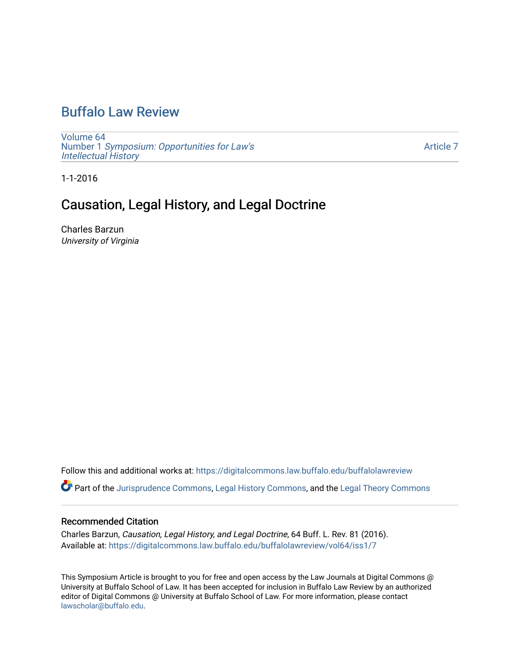# [Buffalo Law Review](https://digitalcommons.law.buffalo.edu/buffalolawreview)

[Volume 64](https://digitalcommons.law.buffalo.edu/buffalolawreview/vol64) Number 1 [Symposium: Opportunities for Law's](https://digitalcommons.law.buffalo.edu/buffalolawreview/vol64/iss1) [Intellectual History](https://digitalcommons.law.buffalo.edu/buffalolawreview/vol64/iss1)

[Article 7](https://digitalcommons.law.buffalo.edu/buffalolawreview/vol64/iss1/7) 

1-1-2016

## Causation, Legal History, and Legal Doctrine

Charles Barzun University of Virginia

Follow this and additional works at: [https://digitalcommons.law.buffalo.edu/buffalolawreview](https://digitalcommons.law.buffalo.edu/buffalolawreview?utm_source=digitalcommons.law.buffalo.edu%2Fbuffalolawreview%2Fvol64%2Fiss1%2F7&utm_medium=PDF&utm_campaign=PDFCoverPages) 

Part of the [Jurisprudence Commons](http://network.bepress.com/hgg/discipline/610?utm_source=digitalcommons.law.buffalo.edu%2Fbuffalolawreview%2Fvol64%2Fiss1%2F7&utm_medium=PDF&utm_campaign=PDFCoverPages), [Legal History Commons,](http://network.bepress.com/hgg/discipline/904?utm_source=digitalcommons.law.buffalo.edu%2Fbuffalolawreview%2Fvol64%2Fiss1%2F7&utm_medium=PDF&utm_campaign=PDFCoverPages) and the [Legal Theory Commons](http://network.bepress.com/hgg/discipline/369?utm_source=digitalcommons.law.buffalo.edu%2Fbuffalolawreview%2Fvol64%2Fiss1%2F7&utm_medium=PDF&utm_campaign=PDFCoverPages) 

#### Recommended Citation

Charles Barzun, Causation, Legal History, and Legal Doctrine, 64 Buff. L. Rev. 81 (2016). Available at: [https://digitalcommons.law.buffalo.edu/buffalolawreview/vol64/iss1/7](https://digitalcommons.law.buffalo.edu/buffalolawreview/vol64/iss1/7?utm_source=digitalcommons.law.buffalo.edu%2Fbuffalolawreview%2Fvol64%2Fiss1%2F7&utm_medium=PDF&utm_campaign=PDFCoverPages) 

This Symposium Article is brought to you for free and open access by the Law Journals at Digital Commons @ University at Buffalo School of Law. It has been accepted for inclusion in Buffalo Law Review by an authorized editor of Digital Commons @ University at Buffalo School of Law. For more information, please contact [lawscholar@buffalo.edu](mailto:lawscholar@buffalo.edu).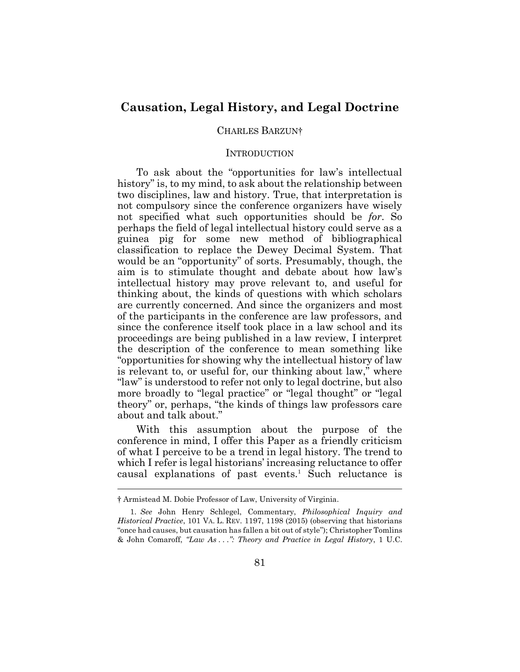### **Causation, Legal History, and Legal Doctrine**

#### CHARLES BARZUN†

#### **INTRODUCTION**

To ask about the "opportunities for law's intellectual history" is, to my mind, to ask about the relationship between two disciplines, law and history. True, that interpretation is not compulsory since the conference organizers have wisely not specified what such opportunities should be *for*. So perhaps the field of legal intellectual history could serve as a guinea pig for some new method of bibliographical classification to replace the Dewey Decimal System. That would be an "opportunity" of sorts. Presumably, though, the aim is to stimulate thought and debate about how law's intellectual history may prove relevant to, and useful for thinking about, the kinds of questions with which scholars are currently concerned. And since the organizers and most of the participants in the conference are law professors, and since the conference itself took place in a law school and its proceedings are being published in a law review, I interpret the description of the conference to mean something like "opportunities for showing why the intellectual history of law is relevant to, or useful for, our thinking about law," where "law" is understood to refer not only to legal doctrine, but also more broadly to "legal practice" or "legal thought" or "legal theory" or, perhaps, "the kinds of things law professors care about and talk about."

With this assumption about the purpose of the conference in mind, I offer this Paper as a friendly criticism of what I perceive to be a trend in legal history. The trend to which I refer is legal historians' increasing reluctance to offer causal explanations of past events.<sup>1</sup> Such reluctance is  $\overline{a}$ 

<sup>†</sup> Armistead M. Dobie Professor of Law, University of Virginia.

<sup>1.</sup> *See* John Henry Schlegel, Commentary, *Philosophical Inquiry and Historical Practice*, 101 VA. L. REV. 1197, 1198 (2015) (observing that historians "once had causes, but causation has fallen a bit out of style"); Christopher Tomlins & John Comaroff, *"Law As . . .": Theory and Practice in Legal History*, 1 U.C.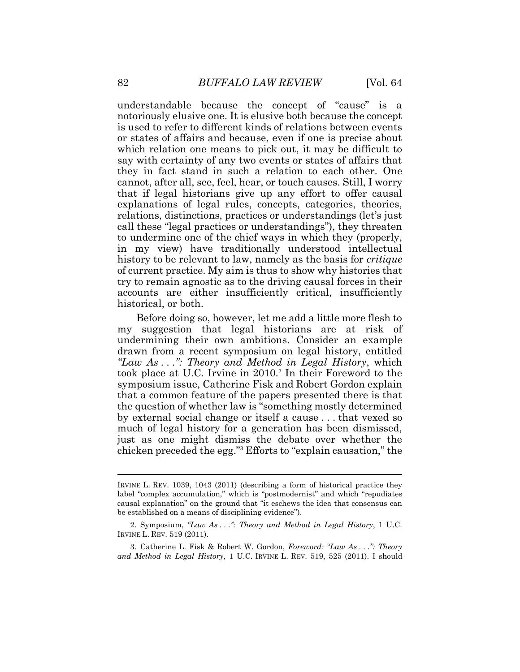understandable because the concept of "cause" is a notoriously elusive one. It is elusive both because the concept is used to refer to different kinds of relations between events or states of affairs and because, even if one is precise about which relation one means to pick out, it may be difficult to say with certainty of any two events or states of affairs that they in fact stand in such a relation to each other. One cannot, after all, see, feel, hear, or touch causes. Still, I worry that if legal historians give up any effort to offer causal explanations of legal rules, concepts, categories, theories, relations, distinctions, practices or understandings (let's just call these "legal practices or understandings"), they threaten to undermine one of the chief ways in which they (properly, in my view) have traditionally understood intellectual history to be relevant to law, namely as the basis for *critique* of current practice. My aim is thus to show why histories that try to remain agnostic as to the driving causal forces in their accounts are either insufficiently critical, insufficiently historical, or both.

Before doing so, however, let me add a little more flesh to my suggestion that legal historians are at risk of undermining their own ambitions. Consider an example drawn from a recent symposium on legal history, entitled *"Law As . . .": Theory and Method in Legal History*, which took place at U.C. Irvine in 2010.<sup>2</sup> In their Foreword to the symposium issue, Catherine Fisk and Robert Gordon explain that a common feature of the papers presented there is that the question of whether law is "something mostly determined by external social change or itself a cause . . . that vexed so much of legal history for a generation has been dismissed, just as one might dismiss the debate over whether the chicken preceded the egg."<sup>3</sup> Efforts to "explain causation," the

IRVINE L. REV. 1039, 1043 (2011) (describing a form of historical practice they label "complex accumulation," which is "postmodernist" and which "repudiates causal explanation" on the ground that "it eschews the idea that consensus can be established on a means of disciplining evidence").

<sup>2.</sup> Symposium, *"Law As . . .": Theory and Method in Legal History*, 1 U.C. IRVINE L. REV. 519 (2011).

<sup>3.</sup> Catherine L. Fisk & Robert W. Gordon, *Foreword: "Law As . . .": Theory and Method in Legal History*, 1 U.C. IRVINE L. REV. 519, 525 (2011). I should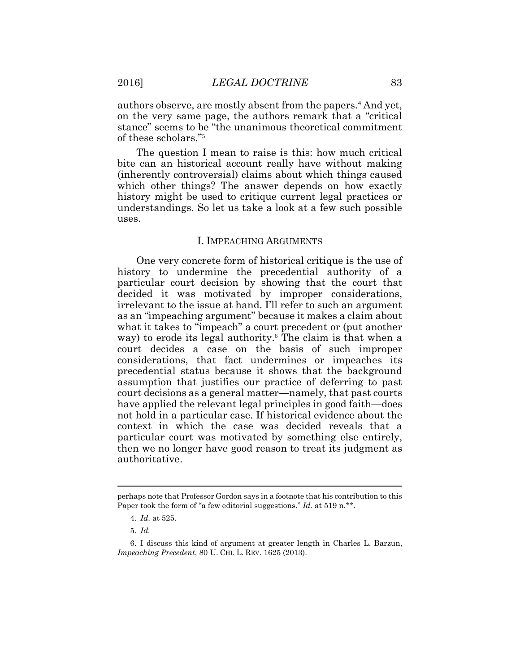authors observe, are mostly absent from the papers.<sup>4</sup> And yet, on the very same page, the authors remark that a "critical stance" seems to be "the unanimous theoretical commitment of these scholars."<sup>5</sup>

The question I mean to raise is this: how much critical bite can an historical account really have without making (inherently controversial) claims about which things caused which other things? The answer depends on how exactly history might be used to critique current legal practices or understandings. So let us take a look at a few such possible uses.

#### I. IMPEACHING ARGUMENTS

One very concrete form of historical critique is the use of history to undermine the precedential authority of a particular court decision by showing that the court that decided it was motivated by improper considerations, irrelevant to the issue at hand. I'll refer to such an argument as an "impeaching argument" because it makes a claim about what it takes to "impeach" a court precedent or (put another way) to erode its legal authority.<sup>6</sup> The claim is that when a court decides a case on the basis of such improper considerations, that fact undermines or impeaches its precedential status because it shows that the background assumption that justifies our practice of deferring to past court decisions as a general matter—namely, that past courts have applied the relevant legal principles in good faith—does not hold in a particular case. If historical evidence about the context in which the case was decided reveals that a particular court was motivated by something else entirely, then we no longer have good reason to treat its judgment as authoritative.

 $\overline{a}$ 

perhaps note that Professor Gordon says in a footnote that his contribution to this Paper took the form of "a few editorial suggestions." *Id.* at 519 n.\*\*.

<sup>4.</sup> *Id*. at 525.

<sup>5.</sup> *Id.*

<sup>6.</sup> I discuss this kind of argument at greater length in Charles L. Barzun, *Impeaching Precedent*, 80 U. CHI. L. REV. 1625 (2013).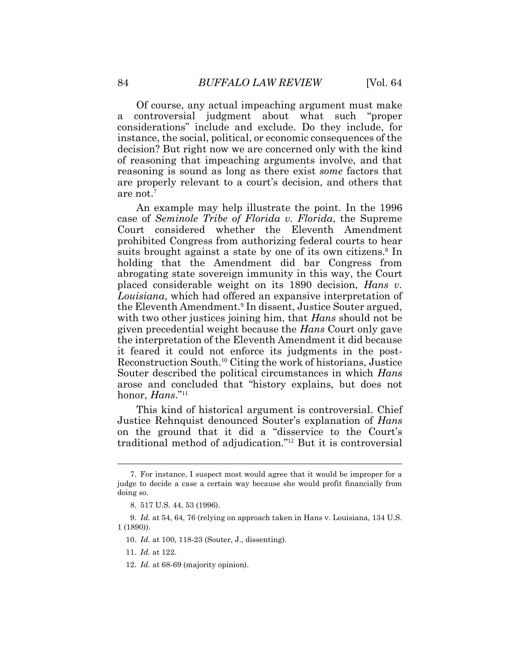Of course, any actual impeaching argument must make a controversial judgment about what such "proper considerations" include and exclude. Do they include, for instance, the social, political, or economic consequences of the decision? But right now we are concerned only with the kind of reasoning that impeaching arguments involve, and that reasoning is sound as long as there exist *some* factors that are properly relevant to a court's decision, and others that are not.<sup>7</sup>

An example may help illustrate the point. In the 1996 case of *Seminole Tribe of Florida v. Florida*, the Supreme Court considered whether the Eleventh Amendment prohibited Congress from authorizing federal courts to hear suits brought against a state by one of its own citizens.<sup>8</sup> In holding that the Amendment did bar Congress from abrogating state sovereign immunity in this way, the Court placed considerable weight on its 1890 decision, *Hans v. Louisiana*, which had offered an expansive interpretation of the Eleventh Amendment.<sup>9</sup> In dissent, Justice Souter argued, with two other justices joining him, that *Hans* should not be given precedential weight because the *Hans* Court only gave the interpretation of the Eleventh Amendment it did because it feared it could not enforce its judgments in the post-Reconstruction South.<sup>10</sup> Citing the work of historians, Justice Souter described the political circumstances in which *Hans* arose and concluded that "history explains, but does not honor, *Hans*." 11

This kind of historical argument is controversial. Chief Justice Rehnquist denounced Souter's explanation of *Hans* on the ground that it did a "disservice to the Court's traditional method of adjudication." <sup>12</sup> But it is controversial

12. *Id.* at 68-69 (majority opinion).

<sup>7.</sup> For instance, I suspect most would agree that it would be improper for a judge to decide a case a certain way because she would profit financially from doing so.

<sup>8.</sup> 517 U.S. 44, 53 (1996).

<sup>9.</sup> *Id.* at 54, 64, 76 (relying on approach taken in Hans v. Louisiana, 134 U.S. 1 (1890)).

<sup>10.</sup> *Id.* at 100, 118-23 (Souter, J., dissenting).

<sup>11.</sup> *Id.* at 122.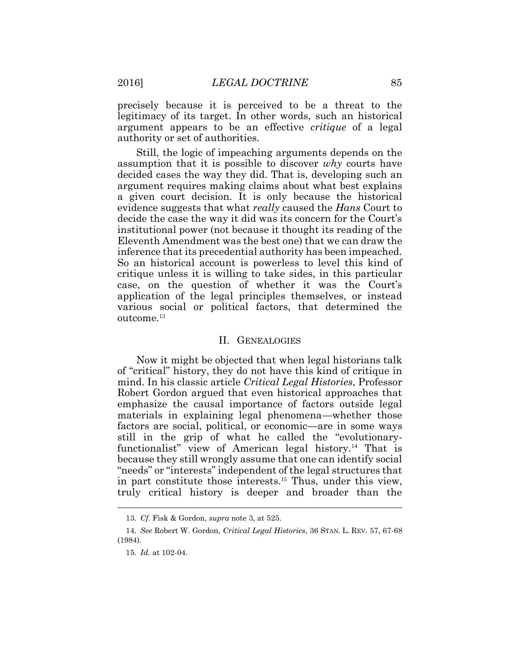precisely because it is perceived to be a threat to the legitimacy of its target. In other words, such an historical argument appears to be an effective *critique* of a legal authority or set of authorities.

Still, the logic of impeaching arguments depends on the assumption that it is possible to discover *why* courts have decided cases the way they did. That is, developing such an argument requires making claims about what best explains a given court decision. It is only because the historical evidence suggests that what *really* caused the *Hans* Court to decide the case the way it did was its concern for the Court's institutional power (not because it thought its reading of the Eleventh Amendment was the best one) that we can draw the inference that its precedential authority has been impeached. So an historical account is powerless to level this kind of critique unless it is willing to take sides, in this particular case, on the question of whether it was the Court's application of the legal principles themselves, or instead various social or political factors, that determined the outcome.<sup>13</sup>

#### II. GENEALOGIES

Now it might be objected that when legal historians talk of "critical" history, they do not have this kind of critique in mind. In his classic article *Critical Legal Histories*, Professor Robert Gordon argued that even historical approaches that emphasize the causal importance of factors outside legal materials in explaining legal phenomena—whether those factors are social, political, or economic—are in some ways still in the grip of what he called the "evolutionaryfunctionalist" view of American legal history.14 That is because they still wrongly assume that one can identify social "needs" or "interests" independent of the legal structures that in part constitute those interests.15 Thus, under this view, truly critical history is deeper and broader than the 

<sup>13.</sup> *Cf.* Fisk & Gordon, *supra* note 3, at 525.

<sup>14.</sup> *See* Robert W. Gordon, *Critical Legal Histories*, 36 STAN. L. REV. 57, 67-68 (1984).

<sup>15.</sup> *Id.* at 102-04.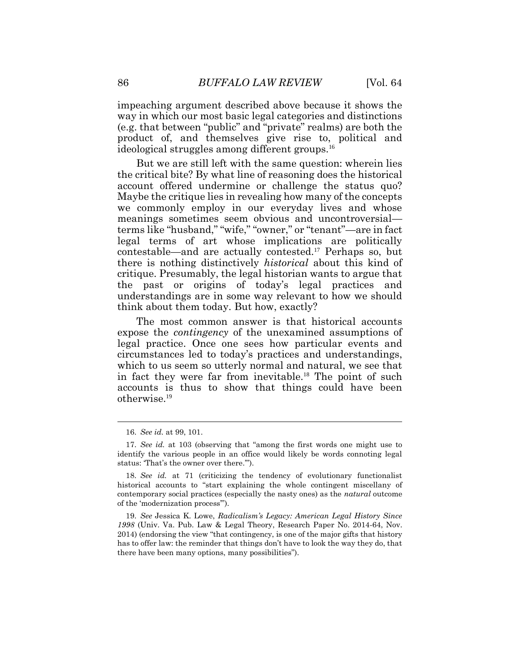impeaching argument described above because it shows the way in which our most basic legal categories and distinctions (e.g. that between "public" and "private" realms) are both the product of, and themselves give rise to, political and ideological struggles among different groups.<sup>16</sup>

But we are still left with the same question: wherein lies the critical bite? By what line of reasoning does the historical account offered undermine or challenge the status quo? Maybe the critique lies in revealing how many of the concepts we commonly employ in our everyday lives and whose meanings sometimes seem obvious and uncontroversial terms like "husband," "wife," "owner," or "tenant"—are in fact legal terms of art whose implications are politically contestable—and are actually contested.<sup>17</sup> Perhaps so, but there is nothing distinctively *historical* about this kind of critique. Presumably, the legal historian wants to argue that the past or origins of today's legal practices and understandings are in some way relevant to how we should think about them today. But how, exactly?

The most common answer is that historical accounts expose the *contingency* of the unexamined assumptions of legal practice. Once one sees how particular events and circumstances led to today's practices and understandings, which to us seem so utterly normal and natural, we see that in fact they were far from inevitable.<sup>18</sup> The point of such accounts is thus to show that things could have been otherwise.<sup>19</sup>

<sup>16.</sup> *See id.* at 99, 101.

<sup>17.</sup> *See id.* at 103 (observing that "among the first words one might use to identify the various people in an office would likely be words connoting legal status: 'That's the owner over there.'").

<sup>18.</sup> *See id.* at 71 (criticizing the tendency of evolutionary functionalist historical accounts to "start explaining the whole contingent miscellany of contemporary social practices (especially the nasty ones) as the *natural* outcome of the 'modernization process'").

<sup>19.</sup> *See* Jessica K. Lowe, *Radicalism's Legacy: American Legal History Since 1998* (Univ. Va. Pub. Law & Legal Theory, Research Paper No. 2014-64, Nov. 2014) (endorsing the view "that contingency, is one of the major gifts that history has to offer law: the reminder that things don't have to look the way they do, that there have been many options, many possibilities").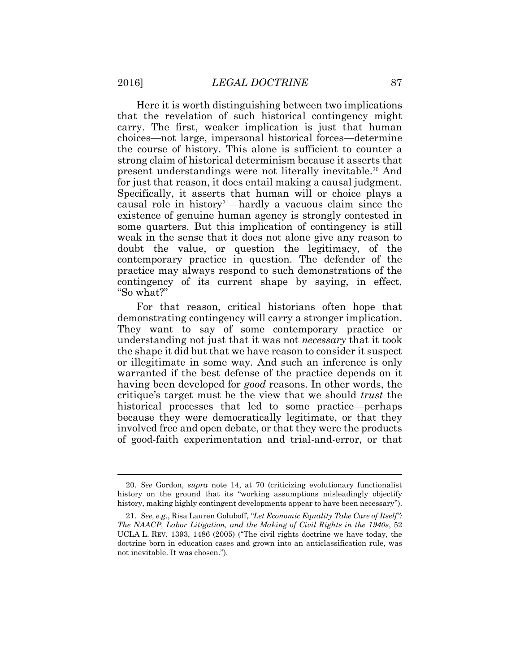Here it is worth distinguishing between two implications that the revelation of such historical contingency might carry. The first, weaker implication is just that human choices—not large, impersonal historical forces—determine the course of history. This alone is sufficient to counter a strong claim of historical determinism because it asserts that present understandings were not literally inevitable.<sup>20</sup> And for just that reason, it does entail making a causal judgment. Specifically, it asserts that human will or choice plays a causal role in history<sup>21</sup>—hardly a vacuous claim since the existence of genuine human agency is strongly contested in some quarters. But this implication of contingency is still weak in the sense that it does not alone give any reason to doubt the value, or question the legitimacy, of the contemporary practice in question. The defender of the practice may always respond to such demonstrations of the contingency of its current shape by saying, in effect, "So what?"

For that reason, critical historians often hope that demonstrating contingency will carry a stronger implication. They want to say of some contemporary practice or understanding not just that it was not *necessary* that it took the shape it did but that we have reason to consider it suspect or illegitimate in some way. And such an inference is only warranted if the best defense of the practice depends on it having been developed for *good* reasons. In other words, the critique's target must be the view that we should *trust* the historical processes that led to some practice—perhaps because they were democratically legitimate, or that they involved free and open debate, or that they were the products of good-faith experimentation and trial-and-error, or that

<sup>20.</sup> *See* Gordon, *supra* note 14, at 70 (criticizing evolutionary functionalist history on the ground that its "working assumptions misleadingly objectify history, making highly contingent developments appear to have been necessary").

<sup>21.</sup> *See, e.g*., Risa Lauren Goluboff, *"Let Economic Equality Take Care of Itself": The NAACP, Labor Litigation, and the Making of Civil Rights in the 1940s*, 52 UCLA L. REV. 1393, 1486 (2005) ("The civil rights doctrine we have today, the doctrine born in education cases and grown into an anticlassification rule, was not inevitable. It was chosen.").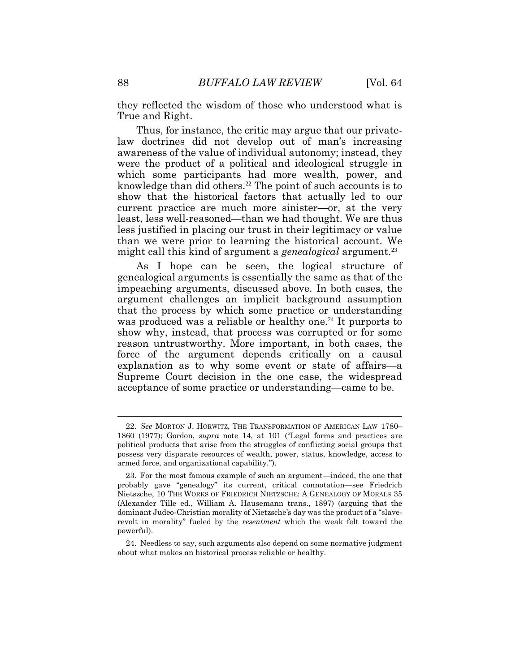they reflected the wisdom of those who understood what is True and Right.

Thus, for instance, the critic may argue that our privatelaw doctrines did not develop out of man's increasing awareness of the value of individual autonomy; instead, they were the product of a political and ideological struggle in which some participants had more wealth, power, and knowledge than did others.<sup>22</sup> The point of such accounts is to show that the historical factors that actually led to our current practice are much more sinister—or, at the very least, less well-reasoned—than we had thought. We are thus less justified in placing our trust in their legitimacy or value than we were prior to learning the historical account. We might call this kind of argument a *genealogical* argument.<sup>23</sup>

As I hope can be seen, the logical structure of genealogical arguments is essentially the same as that of the impeaching arguments, discussed above. In both cases, the argument challenges an implicit background assumption that the process by which some practice or understanding was produced was a reliable or healthy one.<sup>24</sup> It purports to show why, instead, that process was corrupted or for some reason untrustworthy. More important, in both cases, the force of the argument depends critically on a causal explanation as to why some event or state of affairs—a Supreme Court decision in the one case, the widespread acceptance of some practice or understanding—came to be.

<sup>22.</sup> *See* MORTON J. HORWITZ, THE TRANSFORMATION OF AMERICAN LAW 1780– 1860 (1977); Gordon, *supra* note 14, at 101 ("Legal forms and practices are political products that arise from the struggles of conflicting social groups that possess very disparate resources of wealth, power, status, knowledge, access to armed force, and organizational capability.").

<sup>23.</sup> For the most famous example of such an argument—indeed, the one that probably gave "genealogy" its current, critical connotation—see Friedrich Nietszche, 10 THE WORKS OF FRIEDRICH NIETZSCHE: A GENEALOGY OF MORALS 35 (Alexander Tille ed., William A. Hausemann trans., 1897) (arguing that the dominant Judeo-Christian morality of Nietzsche's day was the product of a "slaverevolt in morality" fueled by the *resentment* which the weak felt toward the powerful).

<sup>24.</sup> Needless to say, such arguments also depend on some normative judgment about what makes an historical process reliable or healthy.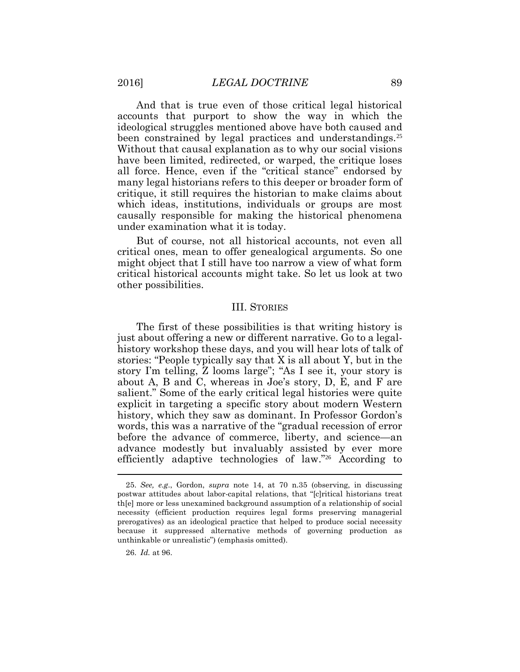And that is true even of those critical legal historical accounts that purport to show the way in which the ideological struggles mentioned above have both caused and been constrained by legal practices and understandings.<sup>25</sup> Without that causal explanation as to why our social visions have been limited, redirected, or warped, the critique loses all force. Hence, even if the "critical stance" endorsed by many legal historians refers to this deeper or broader form of critique, it still requires the historian to make claims about which ideas, institutions, individuals or groups are most causally responsible for making the historical phenomena under examination what it is today.

But of course, not all historical accounts, not even all critical ones, mean to offer genealogical arguments. So one might object that I still have too narrow a view of what form critical historical accounts might take. So let us look at two other possibilities.

#### III. STORIES

The first of these possibilities is that writing history is just about offering a new or different narrative. Go to a legalhistory workshop these days, and you will hear lots of talk of stories: "People typically say that X is all about Y, but in the story I'm telling, Z looms large"; "As I see it, your story is about A, B and C, whereas in Joe's story, D, E, and F are salient." Some of the early critical legal histories were quite explicit in targeting a specific story about modern Western history, which they saw as dominant. In Professor Gordon's words, this was a narrative of the "gradual recession of error before the advance of commerce, liberty, and science—an advance modestly but invaluably assisted by ever more efficiently adaptive technologies of law."26 According to  $\overline{a}$ 

26. *Id.* at 96.

<sup>25.</sup> *See, e.g*., Gordon, *supra* note 14, at 70 n.35 (observing, in discussing postwar attitudes about labor-capital relations, that "[c]ritical historians treat th[e] more or less unexamined background assumption of a relationship of social necessity (efficient production requires legal forms preserving managerial prerogatives) as an ideological practice that helped to produce social necessity because it suppressed alternative methods of governing production as unthinkable or unrealistic") (emphasis omitted).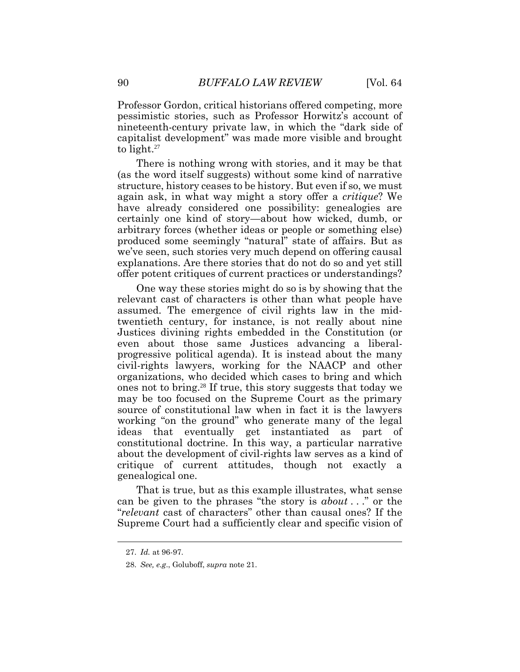Professor Gordon, critical historians offered competing, more pessimistic stories, such as Professor Horwitz's account of nineteenth-century private law, in which the "dark side of capitalist development" was made more visible and brought to light. $27$ 

There is nothing wrong with stories, and it may be that (as the word itself suggests) without some kind of narrative structure, history ceases to be history. But even if so, we must again ask, in what way might a story offer a *critique*? We have already considered one possibility: genealogies are certainly one kind of story—about how wicked, dumb, or arbitrary forces (whether ideas or people or something else) produced some seemingly "natural" state of affairs. But as we've seen, such stories very much depend on offering causal explanations. Are there stories that do not do so and yet still offer potent critiques of current practices or understandings?

One way these stories might do so is by showing that the relevant cast of characters is other than what people have assumed. The emergence of civil rights law in the midtwentieth century, for instance, is not really about nine Justices divining rights embedded in the Constitution (or even about those same Justices advancing a liberalprogressive political agenda). It is instead about the many civil-rights lawyers, working for the NAACP and other organizations, who decided which cases to bring and which ones not to bring.<sup>28</sup> If true, this story suggests that today we may be too focused on the Supreme Court as the primary source of constitutional law when in fact it is the lawyers working "on the ground" who generate many of the legal ideas that eventually get instantiated as part of constitutional doctrine. In this way, a particular narrative about the development of civil-rights law serves as a kind of critique of current attitudes, though not exactly a genealogical one.

That is true, but as this example illustrates, what sense can be given to the phrases "the story is *about* . . ." or the "*relevant* cast of characters" other than causal ones? If the Supreme Court had a sufficiently clear and specific vision of

<sup>27.</sup> *Id.* at 96-97.

<sup>28.</sup> *See, e.g*., Goluboff, *supra* note 21.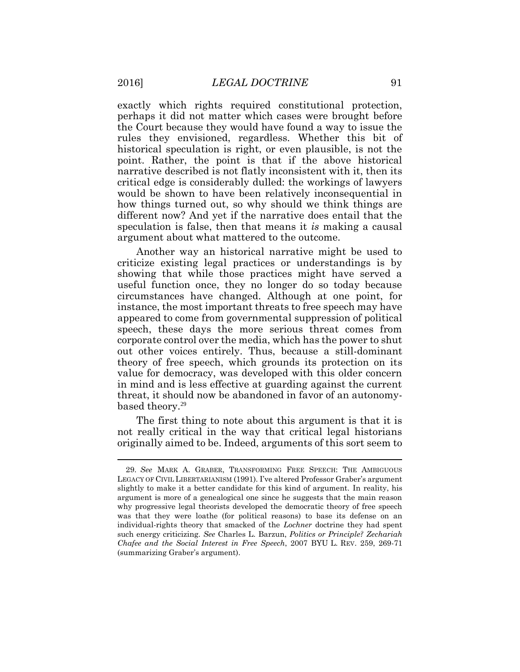exactly which rights required constitutional protection, perhaps it did not matter which cases were brought before the Court because they would have found a way to issue the rules they envisioned, regardless. Whether this bit of historical speculation is right, or even plausible, is not the point. Rather, the point is that if the above historical narrative described is not flatly inconsistent with it, then its critical edge is considerably dulled: the workings of lawyers would be shown to have been relatively inconsequential in how things turned out, so why should we think things are different now? And yet if the narrative does entail that the speculation is false, then that means it *is* making a causal argument about what mattered to the outcome.

Another way an historical narrative might be used to criticize existing legal practices or understandings is by showing that while those practices might have served a useful function once, they no longer do so today because circumstances have changed. Although at one point, for instance, the most important threats to free speech may have appeared to come from governmental suppression of political speech, these days the more serious threat comes from corporate control over the media, which has the power to shut out other voices entirely. Thus, because a still-dominant theory of free speech, which grounds its protection on its value for democracy, was developed with this older concern in mind and is less effective at guarding against the current threat, it should now be abandoned in favor of an autonomybased theory.<sup>29</sup>

The first thing to note about this argument is that it is not really critical in the way that critical legal historians originally aimed to be. Indeed, arguments of this sort seem to

<sup>29.</sup> *See* MARK A. GRABER, TRANSFORMING FREE SPEECH: THE AMBIGUOUS LEGACY OF CIVIL LIBERTARIANISM (1991). I've altered Professor Graber's argument slightly to make it a better candidate for this kind of argument. In reality, his argument is more of a genealogical one since he suggests that the main reason why progressive legal theorists developed the democratic theory of free speech was that they were loathe (for political reasons) to base its defense on an individual-rights theory that smacked of the *Lochner* doctrine they had spent such energy criticizing. *See* Charles L. Barzun, *Politics or Principle? Zechariah Chafee and the Social Interest in Free Speech*, 2007 BYU L. REV. 259, 269-71 (summarizing Graber's argument).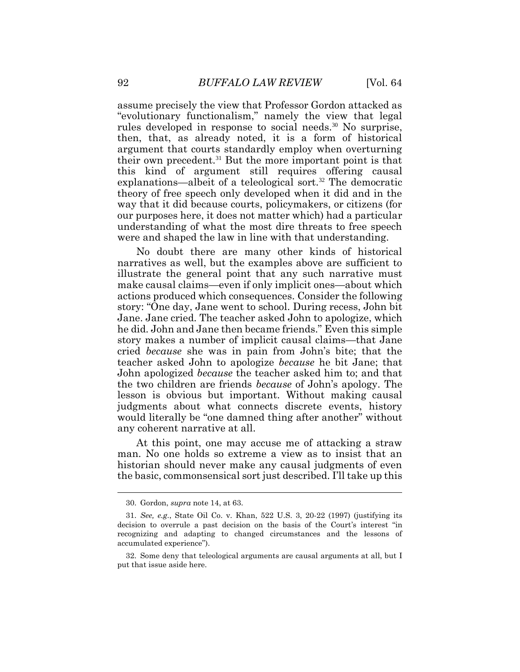assume precisely the view that Professor Gordon attacked as "evolutionary functionalism," namely the view that legal rules developed in response to social needs.<sup>30</sup> No surprise, then, that, as already noted, it is a form of historical argument that courts standardly employ when overturning their own precedent.<sup>31</sup> But the more important point is that this kind of argument still requires offering causal explanations—albeit of a teleological sort.<sup>32</sup> The democratic theory of free speech only developed when it did and in the way that it did because courts, policymakers, or citizens (for our purposes here, it does not matter which) had a particular understanding of what the most dire threats to free speech were and shaped the law in line with that understanding.

No doubt there are many other kinds of historical narratives as well, but the examples above are sufficient to illustrate the general point that any such narrative must make causal claims—even if only implicit ones—about which actions produced which consequences. Consider the following story: "One day, Jane went to school. During recess, John bit Jane. Jane cried. The teacher asked John to apologize, which he did. John and Jane then became friends." Even this simple story makes a number of implicit causal claims—that Jane cried *because* she was in pain from John's bite; that the teacher asked John to apologize *because* he bit Jane; that John apologized *because* the teacher asked him to; and that the two children are friends *because* of John's apology. The lesson is obvious but important. Without making causal judgments about what connects discrete events, history would literally be "one damned thing after another" without any coherent narrative at all.

At this point, one may accuse me of attacking a straw man. No one holds so extreme a view as to insist that an historian should never make any causal judgments of even the basic, commonsensical sort just described. I'll take up this

<sup>30.</sup> Gordon, *supra* note 14, at 63.

<sup>31.</sup> *See, e.g*., State Oil Co. v. Khan, 522 U.S. 3, 20-22 (1997) (justifying its decision to overrule a past decision on the basis of the Court's interest "in recognizing and adapting to changed circumstances and the lessons of accumulated experience").

<sup>32.</sup> Some deny that teleological arguments are causal arguments at all, but I put that issue aside here.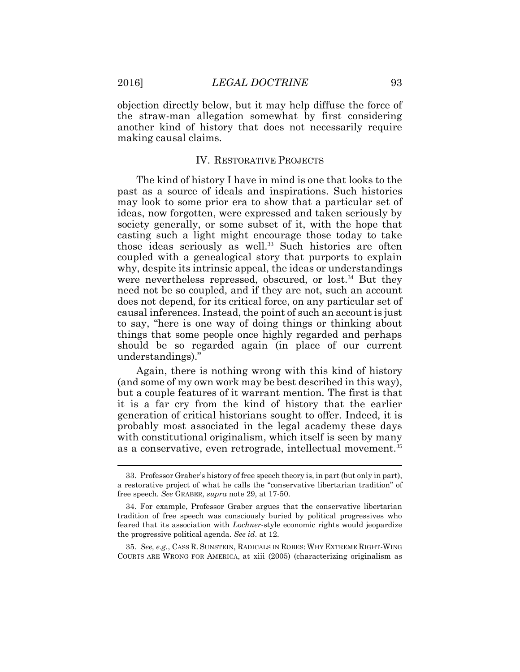objection directly below, but it may help diffuse the force of the straw-man allegation somewhat by first considering another kind of history that does not necessarily require making causal claims.

#### IV. RESTORATIVE PROJECTS

The kind of history I have in mind is one that looks to the past as a source of ideals and inspirations. Such histories may look to some prior era to show that a particular set of ideas, now forgotten, were expressed and taken seriously by society generally, or some subset of it, with the hope that casting such a light might encourage those today to take those ideas seriously as well.<sup>33</sup> Such histories are often coupled with a genealogical story that purports to explain why, despite its intrinsic appeal, the ideas or understandings were nevertheless repressed, obscured, or lost.<sup>34</sup> But they need not be so coupled, and if they are not, such an account does not depend, for its critical force, on any particular set of causal inferences. Instead, the point of such an account is just to say, "here is one way of doing things or thinking about things that some people once highly regarded and perhaps should be so regarded again (in place of our current understandings)."

Again, there is nothing wrong with this kind of history (and some of my own work may be best described in this way), but a couple features of it warrant mention. The first is that it is a far cry from the kind of history that the earlier generation of critical historians sought to offer. Indeed, it is probably most associated in the legal academy these days with constitutional originalism, which itself is seen by many as a conservative, even retrograde, intellectual movement.<sup>35</sup>

 $\overline{a}$ 

<sup>33.</sup> Professor Graber's history of free speech theory is, in part (but only in part), a restorative project of what he calls the "conservative libertarian tradition" of free speech. *See* GRABER, *supra* note 29, at 17-50.

<sup>34.</sup> For example, Professor Graber argues that the conservative libertarian tradition of free speech was consciously buried by political progressives who feared that its association with *Lochner*-style economic rights would jeopardize the progressive political agenda. *See id*. at 12.

<sup>35.</sup> *See, e.g.*, CASS R. SUNSTEIN, RADICALS IN ROBES: WHY EXTREME RIGHT-WING COURTS ARE WRONG FOR AMERICA, at xiii (2005) (characterizing originalism as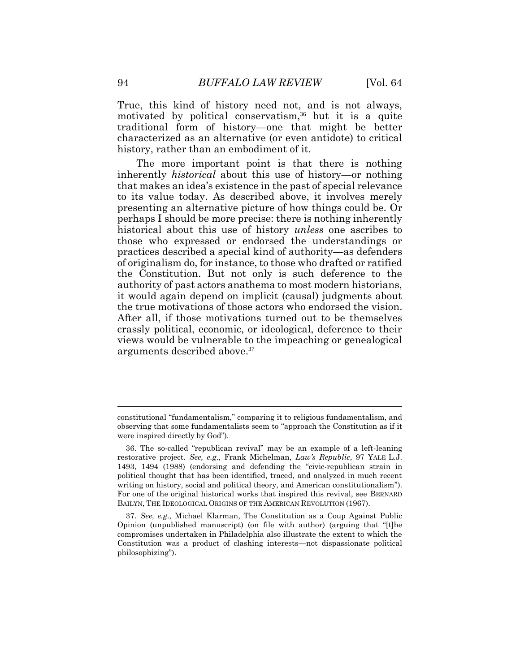True, this kind of history need not, and is not always, motivated by political conservatism,<sup>36</sup> but it is a quite traditional form of history—one that might be better characterized as an alternative (or even antidote) to critical history, rather than an embodiment of it.

The more important point is that there is nothing inherently *historical* about this use of history—or nothing that makes an idea's existence in the past of special relevance to its value today. As described above, it involves merely presenting an alternative picture of how things could be. Or perhaps I should be more precise: there is nothing inherently historical about this use of history *unless* one ascribes to those who expressed or endorsed the understandings or practices described a special kind of authority—as defenders of originalism do, for instance, to those who drafted or ratified the Constitution. But not only is such deference to the authority of past actors anathema to most modern historians, it would again depend on implicit (causal) judgments about the true motivations of those actors who endorsed the vision. After all, if those motivations turned out to be themselves crassly political, economic, or ideological, deference to their views would be vulnerable to the impeaching or genealogical arguments described above.<sup>37</sup>

constitutional "fundamentalism," comparing it to religious fundamentalism, and observing that some fundamentalists seem to "approach the Constitution as if it were inspired directly by God").

<sup>36.</sup> The so-called "republican revival" may be an example of a left-leaning restorative project. *See, e.g*., Frank Michelman, *Law's Republic*, 97 YALE L.J. 1493, 1494 (1988) (endorsing and defending the "civic-republican strain in political thought that has been identified, traced, and analyzed in much recent writing on history, social and political theory, and American constitutionalism"). For one of the original historical works that inspired this revival, see BERNARD BAILYN, THE IDEOLOGICAL ORIGINS OF THE AMERICAN REVOLUTION (1967).

<sup>37.</sup> *See, e.g*., Michael Klarman, The Constitution as a Coup Against Public Opinion (unpublished manuscript) (on file with author) (arguing that "[t]he compromises undertaken in Philadelphia also illustrate the extent to which the Constitution was a product of clashing interests—not dispassionate political philosophizing").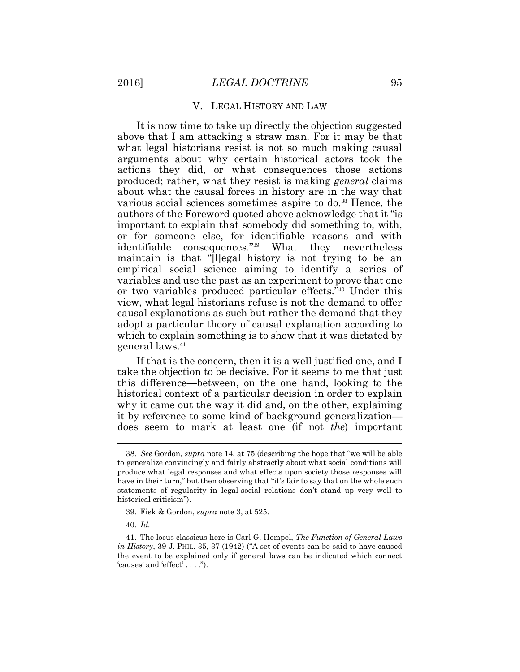#### V. LEGAL HISTORY AND LAW

It is now time to take up directly the objection suggested above that I am attacking a straw man. For it may be that what legal historians resist is not so much making causal arguments about why certain historical actors took the actions they did, or what consequences those actions produced; rather, what they resist is making *general* claims about what the causal forces in history are in the way that various social sciences sometimes aspire to do.<sup>38</sup> Hence, the authors of the Foreword quoted above acknowledge that it "is important to explain that somebody did something to, with, or for someone else, for identifiable reasons and with identifiable consequences."39 What they nevertheless maintain is that "[l]egal history is not trying to be an empirical social science aiming to identify a series of variables and use the past as an experiment to prove that one or two variables produced particular effects." <sup>40</sup> Under this view, what legal historians refuse is not the demand to offer causal explanations as such but rather the demand that they adopt a particular theory of causal explanation according to which to explain something is to show that it was dictated by general laws.<sup>41</sup>

If that is the concern, then it is a well justified one, and I take the objection to be decisive. For it seems to me that just this difference—between, on the one hand, looking to the historical context of a particular decision in order to explain why it came out the way it did and, on the other, explaining it by reference to some kind of background generalization does seem to mark at least one (if not *the*) important

<sup>38.</sup> *See* Gordon, *supra* note 14, at 75 (describing the hope that "we will be able to generalize convincingly and fairly abstractly about what social conditions will produce what legal responses and what effects upon society those responses will have in their turn," but then observing that "it's fair to say that on the whole such statements of regularity in legal-social relations don't stand up very well to historical criticism").

<sup>39.</sup> Fisk & Gordon, *supra* note 3, at 525.

<sup>40.</sup> *Id.* 

<sup>41.</sup> The locus classicus here is Carl G. Hempel, *The Function of General Laws in History*, 39 J. PHIL. 35, 37 (1942) ("A set of events can be said to have caused the event to be explained only if general laws can be indicated which connect 'causes' and 'effect' . . . .").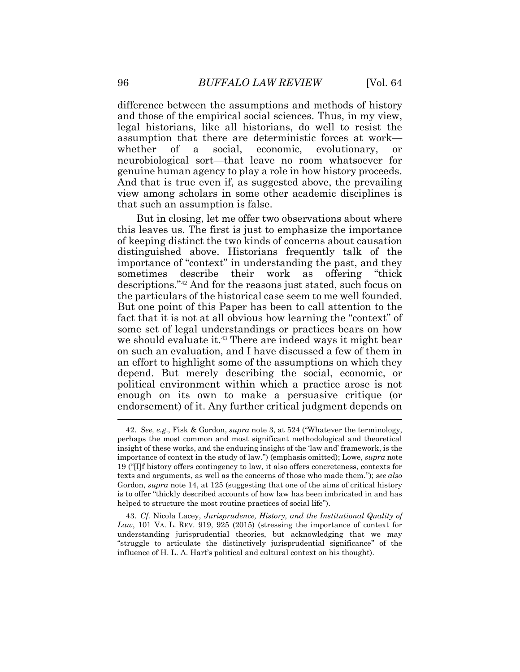difference between the assumptions and methods of history and those of the empirical social sciences. Thus, in my view, legal historians, like all historians, do well to resist the assumption that there are deterministic forces at work whether of a social, economic, evolutionary, or neurobiological sort—that leave no room whatsoever for genuine human agency to play a role in how history proceeds. And that is true even if, as suggested above, the prevailing view among scholars in some other academic disciplines is that such an assumption is false.

But in closing, let me offer two observations about where this leaves us. The first is just to emphasize the importance of keeping distinct the two kinds of concerns about causation distinguished above. Historians frequently talk of the importance of "context" in understanding the past, and they sometimes describe their work as offering "thick descriptions."<sup>42</sup> And for the reasons just stated, such focus on the particulars of the historical case seem to me well founded. But one point of this Paper has been to call attention to the fact that it is not at all obvious how learning the "context" of some set of legal understandings or practices bears on how we should evaluate it.<sup>43</sup> There are indeed ways it might bear on such an evaluation, and I have discussed a few of them in an effort to highlight some of the assumptions on which they depend. But merely describing the social, economic, or political environment within which a practice arose is not enough on its own to make a persuasive critique (or endorsement) of it. Any further critical judgment depends on

<sup>42.</sup> *See, e.g*., Fisk & Gordon, *supra* note 3, at 524 ("Whatever the terminology, perhaps the most common and most significant methodological and theoretical insight of these works, and the enduring insight of the 'law and' framework, is the importance of context in the study of law.") (emphasis omitted); Lowe, *supra* note 19 ("[I]f history offers contingency to law, it also offers concreteness, contexts for texts and arguments, as well as the concerns of those who made them."); *see also*  Gordon, *supra* note 14, at 125 (suggesting that one of the aims of critical history is to offer "thickly described accounts of how law has been imbricated in and has helped to structure the most routine practices of social life").

<sup>43.</sup> *Cf.* Nicola Lacey, *Jurisprudence, History, and the Institutional Quality of Law*, 101 VA. L. REV. 919, 925 (2015) (stressing the importance of context for understanding jurisprudential theories, but acknowledging that we may "struggle to articulate the distinctively jurisprudential significance" of the influence of H. L. A. Hart's political and cultural context on his thought).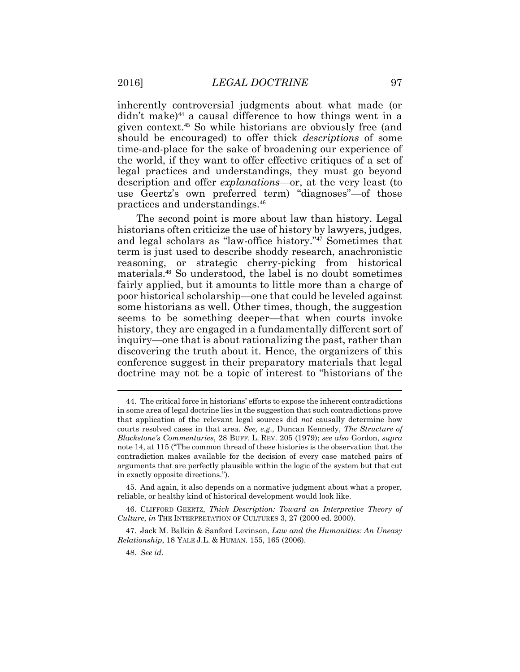inherently controversial judgments about what made (or didn't make) <sup>44</sup> a causal difference to how things went in a given context.<sup>45</sup> So while historians are obviously free (and should be encouraged) to offer thick *descriptions* of some time-and-place for the sake of broadening our experience of the world, if they want to offer effective critiques of a set of legal practices and understandings, they must go beyond description and offer *explanations*—or, at the very least (to use Geertz's own preferred term) "diagnoses"—of those practices and understandings.<sup>46</sup>

The second point is more about law than history. Legal historians often criticize the use of history by lawyers, judges, and legal scholars as "law-office history."<sup>47</sup> Sometimes that term is just used to describe shoddy research, anachronistic reasoning, or strategic cherry-picking from historical materials.<sup>48</sup> So understood, the label is no doubt sometimes fairly applied, but it amounts to little more than a charge of poor historical scholarship—one that could be leveled against some historians as well. Other times, though, the suggestion seems to be something deeper—that when courts invoke history, they are engaged in a fundamentally different sort of inquiry—one that is about rationalizing the past, rather than discovering the truth about it. Hence, the organizers of this conference suggest in their preparatory materials that legal doctrine may not be a topic of interest to "historians of the

<sup>44.</sup> The critical force in historians' efforts to expose the inherent contradictions in some area of legal doctrine lies in the suggestion that such contradictions prove that application of the relevant legal sources did *not* causally determine how courts resolved cases in that area. *See, e.g*., Duncan Kennedy, *The Structure of Blackstone's Commentaries*, 28 BUFF. L. REV. 205 (1979); *see also* Gordon, *supra* note 14, at 115 ("The common thread of these histories is the observation that the contradiction makes available for the decision of every case matched pairs of arguments that are perfectly plausible within the logic of the system but that cut in exactly opposite directions.").

<sup>45.</sup> And again, it also depends on a normative judgment about what a proper, reliable, or healthy kind of historical development would look like.

<sup>46.</sup> CLIFFORD GEERTZ, *Thick Description: Toward an Interpretive Theory of Culture*, *in* THE INTERPRETATION OF CULTURES 3, 27 (2000 ed. 2000).

<sup>47.</sup> Jack M. Balkin & Sanford Levinson, *Law and the Humanities: An Uneasy Relationship*, 18 YALE J.L. & HUMAN. 155, 165 (2006).

<sup>48.</sup> *See id.*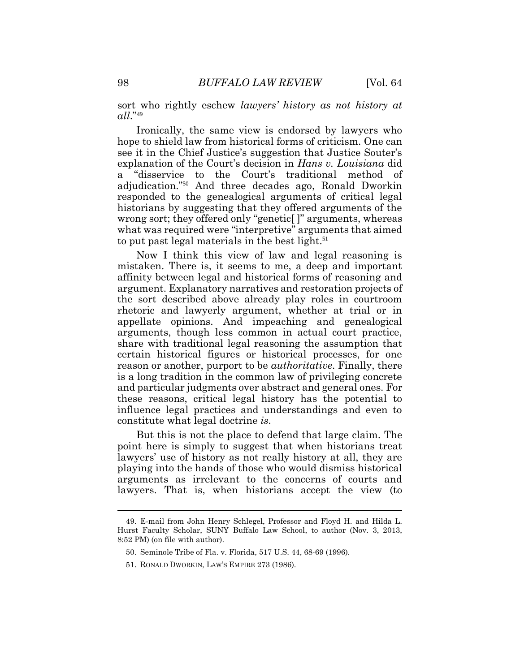sort who rightly eschew *lawyers' history as not history at all*."<sup>49</sup>

Ironically, the same view is endorsed by lawyers who hope to shield law from historical forms of criticism. One can see it in the Chief Justice's suggestion that Justice Souter's explanation of the Court's decision in *Hans v. Louisiana* did a "disservice to the Court's traditional method of adjudication." <sup>50</sup> And three decades ago, Ronald Dworkin responded to the genealogical arguments of critical legal historians by suggesting that they offered arguments of the wrong sort; they offered only "genetic[ ]" arguments, whereas what was required were "interpretive" arguments that aimed to put past legal materials in the best light.<sup>51</sup>

Now I think this view of law and legal reasoning is mistaken. There is, it seems to me, a deep and important affinity between legal and historical forms of reasoning and argument. Explanatory narratives and restoration projects of the sort described above already play roles in courtroom rhetoric and lawyerly argument, whether at trial or in appellate opinions. And impeaching and genealogical arguments, though less common in actual court practice, share with traditional legal reasoning the assumption that certain historical figures or historical processes, for one reason or another, purport to be *authoritative*. Finally, there is a long tradition in the common law of privileging concrete and particular judgments over abstract and general ones. For these reasons, critical legal history has the potential to influence legal practices and understandings and even to constitute what legal doctrine *is*.

But this is not the place to defend that large claim. The point here is simply to suggest that when historians treat lawyers' use of history as not really history at all, they are playing into the hands of those who would dismiss historical arguments as irrelevant to the concerns of courts and lawyers. That is, when historians accept the view (to

<sup>49.</sup> E-mail from John Henry Schlegel, Professor and Floyd H. and Hilda L. Hurst Faculty Scholar, SUNY Buffalo Law School, to author (Nov. 3, 2013, 8:52 PM) (on file with author).

<sup>50.</sup> Seminole Tribe of Fla. v. Florida, 517 U.S. 44, 68-69 (1996).

<sup>51.</sup> RONALD DWORKIN, LAW'S EMPIRE 273 (1986).